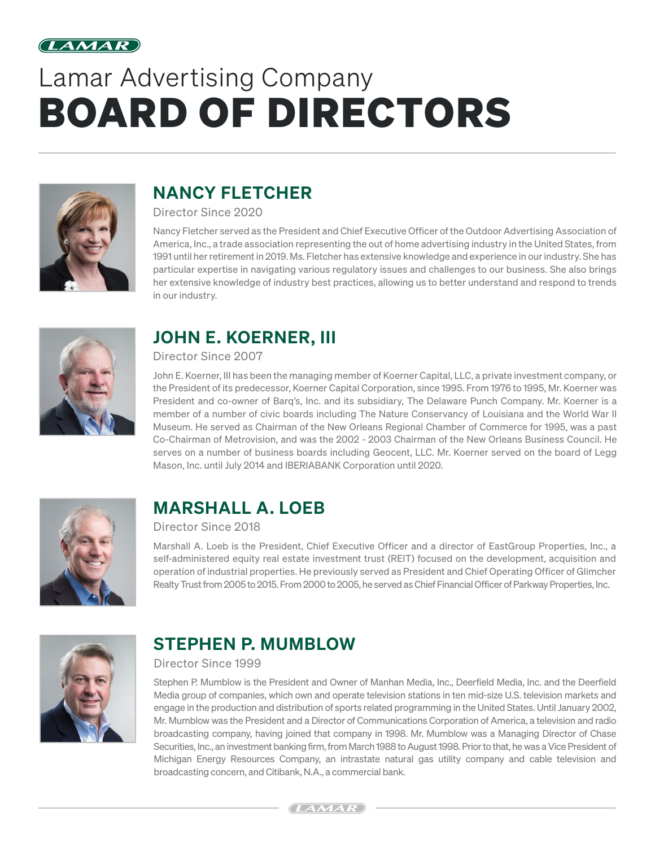

# Lamar Advertising Company BOARD OF DIRECTORS



# NANCY FLETCHER

Director Since 2020

Nancy Fletcher served as the President and Chief Executive Officer of the Outdoor Advertising Association of America, Inc., a trade association representing the out of home advertising industry in the United States, from 1991 until her retirement in 2019. Ms. Fletcher has extensive knowledge and experience in our industry. She has particular expertise in navigating various regulatory issues and challenges to our business. She also brings her extensive knowledge of industry best practices, allowing us to better understand and respond to trends in our industry.



# JOHN E. KOERNER, III

Director Since 2007

John E. Koerner, III has been the managing member of Koerner Capital, LLC, a private investment company, or the President of its predecessor, Koerner Capital Corporation, since 1995. From 1976 to 1995, Mr. Koerner was President and co-owner of Barq's, Inc. and its subsidiary, The Delaware Punch Company. Mr. Koerner is a member of a number of civic boards including The Nature Conservancy of Louisiana and the World War II Museum. He served as Chairman of the New Orleans Regional Chamber of Commerce for 1995, was a past Co-Chairman of Metrovision, and was the 2002 - 2003 Chairman of the New Orleans Business Council. He serves on a number of business boards including Geocent, LLC. Mr. Koerner served on the board of Legg Mason, Inc. until July 2014 and IBERIABANK Corporation until 2020.



# MARSHALL A. LOEB

#### Director Since 2018

Marshall A. Loeb is the President, Chief Executive Officer and a director of EastGroup Properties, Inc., a self-administered equity real estate investment trust (REIT) focused on the development, acquisition and operation of industrial properties. He previously served as President and Chief Operating Officer of Glimcher Realty Trust from 2005 to 2015. From 2000 to 2005, he served as Chief Financial Officer of Parkway Properties, Inc.



#### STEPHEN P. MUMBLOW

#### Director Since 1999

Stephen P. Mumblow is the President and Owner of Manhan Media, Inc., Deerfield Media, Inc. and the Deerfield Media group of companies, which own and operate television stations in ten mid-size U.S. television markets and engage in the production and distribution of sports related programming in the United States. Until January 2002, Mr. Mumblow was the President and a Director of Communications Corporation of America, a television and radio broadcasting company, having joined that company in 1998. Mr. Mumblow was a Managing Director of Chase Securities, Inc., an investment banking firm, from March 1988 to August 1998. Prior to that, he was a Vice President of Michigan Energy Resources Company, an intrastate natural gas utility company and cable television and broadcasting concern, and Citibank, N.A., a commercial bank.